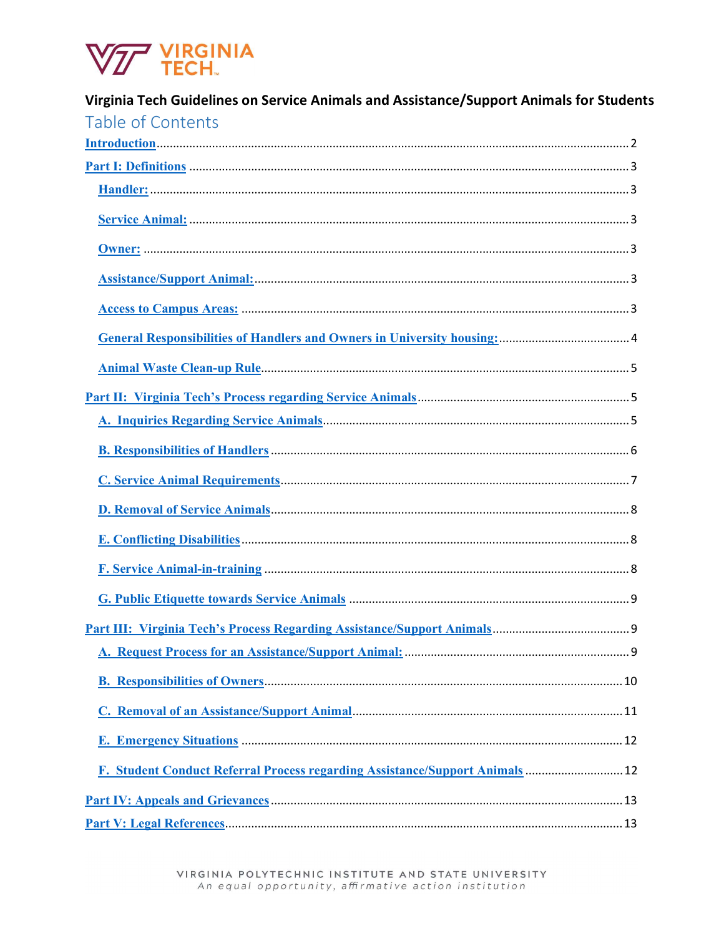

| Virginia Tech Guidelines on Service Animals and Assistance/Support Animals for Students |  |
|-----------------------------------------------------------------------------------------|--|
| Table of Contents                                                                       |  |
|                                                                                         |  |
|                                                                                         |  |
|                                                                                         |  |
|                                                                                         |  |
|                                                                                         |  |
|                                                                                         |  |
|                                                                                         |  |
|                                                                                         |  |
|                                                                                         |  |
|                                                                                         |  |
|                                                                                         |  |
|                                                                                         |  |
|                                                                                         |  |
|                                                                                         |  |
|                                                                                         |  |
|                                                                                         |  |
|                                                                                         |  |
|                                                                                         |  |
|                                                                                         |  |
|                                                                                         |  |
|                                                                                         |  |
|                                                                                         |  |
| F. Student Conduct Referral Process regarding Assistance/Support Animals 12             |  |
|                                                                                         |  |
|                                                                                         |  |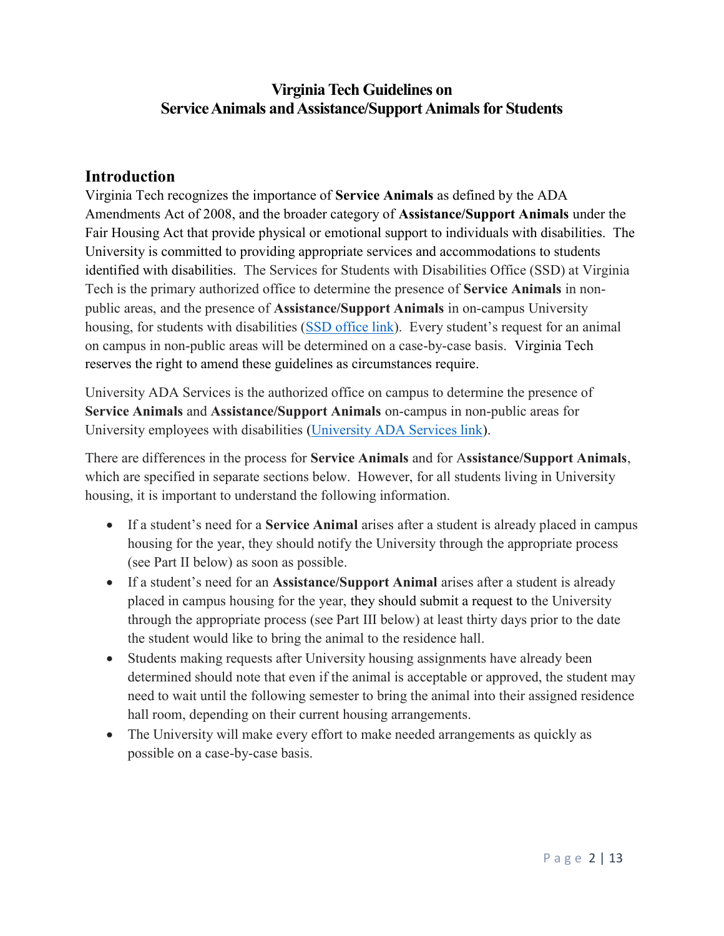# Virginia Tech Guidelines on Service Animals and Assistance/Support Animals for Students

#### Introduction

Virginia Tech recognizes the importance of Service Animals as defined by the ADA Amendments Act of 2008, and the broader category of Assistance/Support Animals under the Fair Housing Act that provide physical or emotional support to individuals with disabilities. The University is committed to providing appropriate services and accommodations to students identified with disabilities. The Services for Students with Disabilities Office (SSD) at Virginia Tech is the primary authorized office to determine the presence of Service Animals in nonpublic areas, and the presence of Assistance/Support Animals in on-campus University housing, for students with disabilities (SSD office link). Every student's request for an animal on campus in non-public areas will be determined on a case-by-case basis. Virginia Tech reserves the right to amend these guidelines as circumstances require.

University ADA Services is the authorized office on campus to determine the presence of Service Animals and Assistance/Support Animals on-campus in non-public areas for University employees with disabilities (University ADA Services link).

There are differences in the process for Service Animals and for Assistance/Support Animals, which are specified in separate sections below. However, for all students living in University housing, it is important to understand the following information.

- If a student's need for a **Service Animal** arises after a student is already placed in campus housing for the year, they should notify the University through the appropriate process (see Part II below) as soon as possible.
- If a student's need for an Assistance/Support Animal arises after a student is already placed in campus housing for the year, they should submit a request to the University through the appropriate process (see Part III below) at least thirty days prior to the date the student would like to bring the animal to the residence hall.
- Students making requests after University housing assignments have already been determined should note that even if the animal is acceptable or approved, the student may need to wait until the following semester to bring the animal into their assigned residence hall room, depending on their current housing arrangements.
- The University will make every effort to make needed arrangements as quickly as possible on a case-by-case basis.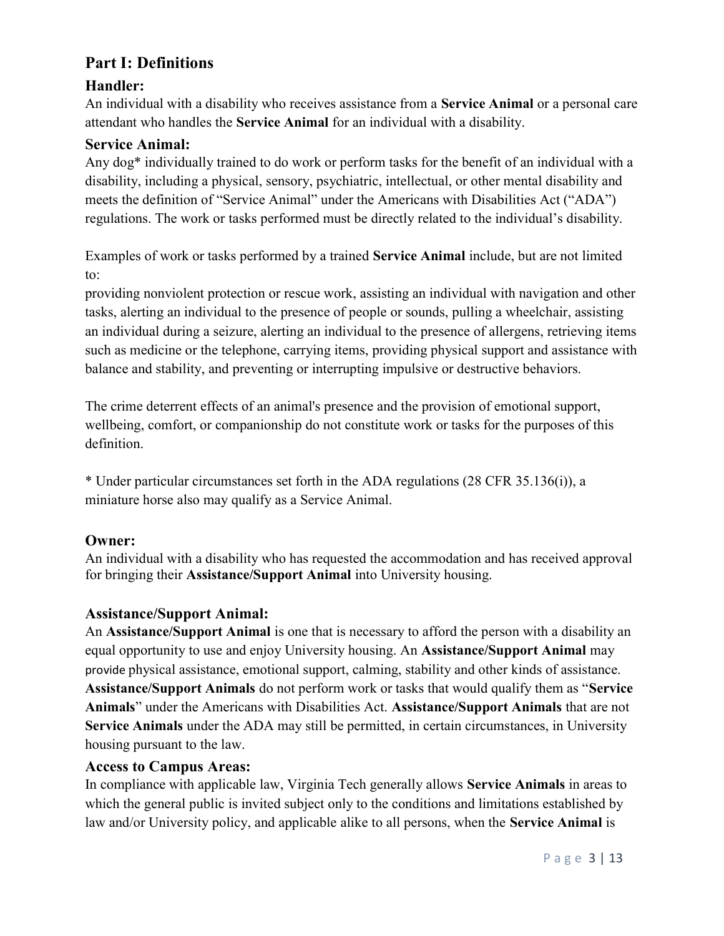# Part I: Definitions

## Handler:

An individual with a disability who receives assistance from a Service Animal or a personal care attendant who handles the Service Animal for an individual with a disability.

#### Service Animal:

Any dog\* individually trained to do work or perform tasks for the benefit of an individual with a disability, including a physical, sensory, psychiatric, intellectual, or other mental disability and meets the definition of "Service Animal" under the Americans with Disabilities Act ("ADA") regulations. The work or tasks performed must be directly related to the individual's disability.

Examples of work or tasks performed by a trained Service Animal include, but are not limited to:

providing nonviolent protection or rescue work, assisting an individual with navigation and other tasks, alerting an individual to the presence of people or sounds, pulling a wheelchair, assisting an individual during a seizure, alerting an individual to the presence of allergens, retrieving items such as medicine or the telephone, carrying items, providing physical support and assistance with balance and stability, and preventing or interrupting impulsive or destructive behaviors.

The crime deterrent effects of an animal's presence and the provision of emotional support, wellbeing, comfort, or companionship do not constitute work or tasks for the purposes of this definition.

\* Under particular circumstances set forth in the ADA regulations (28 CFR 35.136(i)), a miniature horse also may qualify as a Service Animal.

## Owner:

An individual with a disability who has requested the accommodation and has received approval for bringing their Assistance/Support Animal into University housing.

## Assistance/Support Animal:

An Assistance/Support Animal is one that is necessary to afford the person with a disability an equal opportunity to use and enjoy University housing. An Assistance/Support Animal may provide physical assistance, emotional support, calming, stability and other kinds of assistance. Assistance/Support Animals do not perform work or tasks that would qualify them as "Service Animals" under the Americans with Disabilities Act. Assistance/Support Animals that are not Service Animals under the ADA may still be permitted, in certain circumstances, in University housing pursuant to the law.

#### Access to Campus Areas:

In compliance with applicable law, Virginia Tech generally allows Service Animals in areas to which the general public is invited subject only to the conditions and limitations established by law and/or University policy, and applicable alike to all persons, when the Service Animal is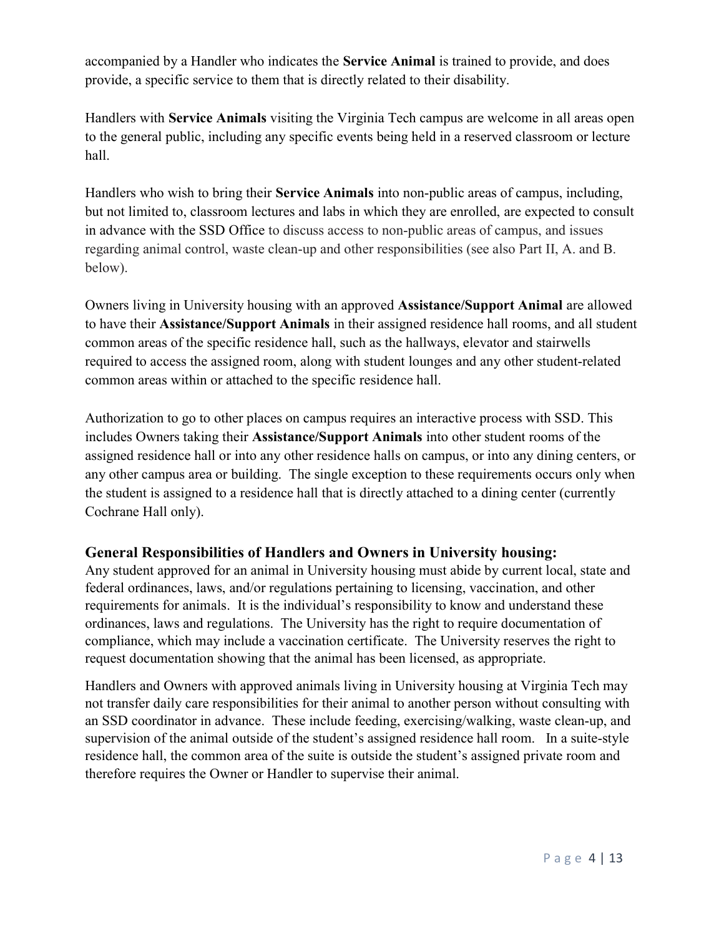accompanied by a Handler who indicates the Service Animal is trained to provide, and does provide, a specific service to them that is directly related to their disability.

Handlers with Service Animals visiting the Virginia Tech campus are welcome in all areas open to the general public, including any specific events being held in a reserved classroom or lecture hall.

Handlers who wish to bring their Service Animals into non-public areas of campus, including, but not limited to, classroom lectures and labs in which they are enrolled, are expected to consult in advance with the SSD Office to discuss access to non-public areas of campus, and issues regarding animal control, waste clean-up and other responsibilities (see also Part II, A. and B. below).

Owners living in University housing with an approved Assistance/Support Animal are allowed to have their Assistance/Support Animals in their assigned residence hall rooms, and all student common areas of the specific residence hall, such as the hallways, elevator and stairwells required to access the assigned room, along with student lounges and any other student-related common areas within or attached to the specific residence hall.

Authorization to go to other places on campus requires an interactive process with SSD. This includes Owners taking their Assistance/Support Animals into other student rooms of the assigned residence hall or into any other residence halls on campus, or into any dining centers, or any other campus area or building. The single exception to these requirements occurs only when the student is assigned to a residence hall that is directly attached to a dining center (currently Cochrane Hall only).

## General Responsibilities of Handlers and Owners in University housing:

Any student approved for an animal in University housing must abide by current local, state and federal ordinances, laws, and/or regulations pertaining to licensing, vaccination, and other requirements for animals. It is the individual's responsibility to know and understand these ordinances, laws and regulations. The University has the right to require documentation of compliance, which may include a vaccination certificate. The University reserves the right to request documentation showing that the animal has been licensed, as appropriate.

Handlers and Owners with approved animals living in University housing at Virginia Tech may not transfer daily care responsibilities for their animal to another person without consulting with an SSD coordinator in advance. These include feeding, exercising/walking, waste clean-up, and supervision of the animal outside of the student's assigned residence hall room. In a suite-style residence hall, the common area of the suite is outside the student's assigned private room and therefore requires the Owner or Handler to supervise their animal.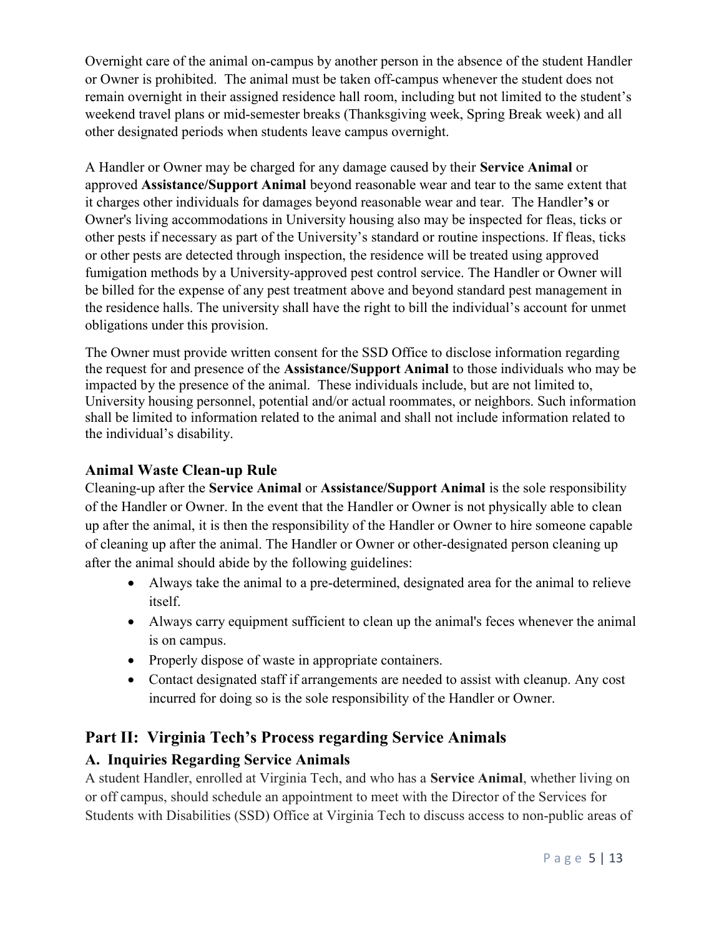Overnight care of the animal on-campus by another person in the absence of the student Handler or Owner is prohibited. The animal must be taken off-campus whenever the student does not remain overnight in their assigned residence hall room, including but not limited to the student's weekend travel plans or mid-semester breaks (Thanksgiving week, Spring Break week) and all other designated periods when students leave campus overnight.

A Handler or Owner may be charged for any damage caused by their Service Animal or approved Assistance/Support Animal beyond reasonable wear and tear to the same extent that it charges other individuals for damages beyond reasonable wear and tear. The Handler's or Owner's living accommodations in University housing also may be inspected for fleas, ticks or other pests if necessary as part of the University's standard or routine inspections. If fleas, ticks or other pests are detected through inspection, the residence will be treated using approved fumigation methods by a University-approved pest control service. The Handler or Owner will be billed for the expense of any pest treatment above and beyond standard pest management in the residence halls. The university shall have the right to bill the individual's account for unmet obligations under this provision.

The Owner must provide written consent for the SSD Office to disclose information regarding the request for and presence of the Assistance/Support Animal to those individuals who may be impacted by the presence of the animal. These individuals include, but are not limited to, University housing personnel, potential and/or actual roommates, or neighbors. Such information shall be limited to information related to the animal and shall not include information related to the individual's disability.

## Animal Waste Clean-up Rule

Cleaning-up after the Service Animal or Assistance/Support Animal is the sole responsibility of the Handler or Owner. In the event that the Handler or Owner is not physically able to clean up after the animal, it is then the responsibility of the Handler or Owner to hire someone capable of cleaning up after the animal. The Handler or Owner or other-designated person cleaning up after the animal should abide by the following guidelines:

- Always take the animal to a pre-determined, designated area for the animal to relieve itself.
- Always carry equipment sufficient to clean up the animal's feces whenever the animal is on campus.
- Properly dispose of waste in appropriate containers.
- Contact designated staff if arrangements are needed to assist with cleanup. Any cost incurred for doing so is the sole responsibility of the Handler or Owner.

# Part II: Virginia Tech's Process regarding Service Animals

# A. Inquiries Regarding Service Animals

A student Handler, enrolled at Virginia Tech, and who has a Service Animal, whether living on or off campus, should schedule an appointment to meet with the Director of the Services for Students with Disabilities (SSD) Office at Virginia Tech to discuss access to non-public areas of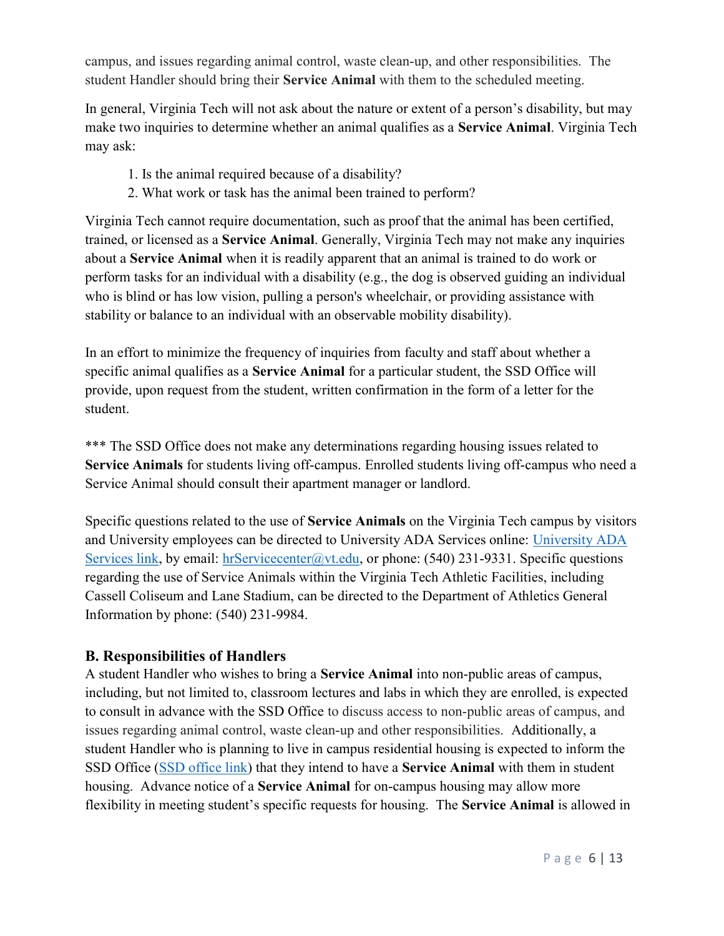campus, and issues regarding animal control, waste clean-up, and other responsibilities. The student Handler should bring their Service Animal with them to the scheduled meeting.

In general, Virginia Tech will not ask about the nature or extent of a person's disability, but may make two inquiries to determine whether an animal qualifies as a Service Animal. Virginia Tech may ask:

- 1. Is the animal required because of a disability?
- 2. What work or task has the animal been trained to perform?

Virginia Tech cannot require documentation, such as proof that the animal has been certified, trained, or licensed as a Service Animal. Generally, Virginia Tech may not make any inquiries about a Service Animal when it is readily apparent that an animal is trained to do work or perform tasks for an individual with a disability (e.g., the dog is observed guiding an individual who is blind or has low vision, pulling a person's wheelchair, or providing assistance with stability or balance to an individual with an observable mobility disability).

In an effort to minimize the frequency of inquiries from faculty and staff about whether a specific animal qualifies as a Service Animal for a particular student, the SSD Office will provide, upon request from the student, written confirmation in the form of a letter for the student.

\*\*\* The SSD Office does not make any determinations regarding housing issues related to Service Animals for students living off-campus. Enrolled students living off-campus who need a Service Animal should consult their apartment manager or landlord.

Specific questions related to the use of Service Animals on the Virginia Tech campus by visitors and University employees can be directed to University ADA Services online: University ADA Services link, by email: hrServicecenter@vt.edu, or phone: (540) 231-9331. Specific questions regarding the use of Service Animals within the Virginia Tech Athletic Facilities, including Cassell Coliseum and Lane Stadium, can be directed to the Department of Athletics General Information by phone: (540) 231-9984.

#### B. Responsibilities of Handlers

A student Handler who wishes to bring a Service Animal into non-public areas of campus, including, but not limited to, classroom lectures and labs in which they are enrolled, is expected to consult in advance with the SSD Office to discuss access to non-public areas of campus, and issues regarding animal control, waste clean-up and other responsibilities. Additionally, a student Handler who is planning to live in campus residential housing is expected to inform the SSD Office (SSD office link) that they intend to have a Service Animal with them in student housing. Advance notice of a Service Animal for on-campus housing may allow more flexibility in meeting student's specific requests for housing. The Service Animal is allowed in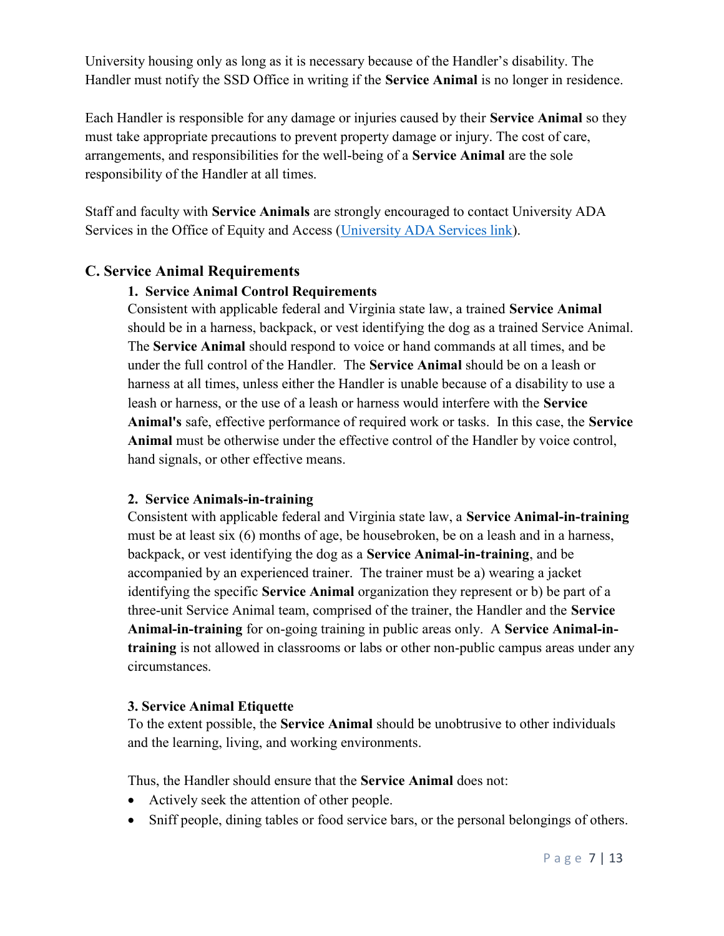University housing only as long as it is necessary because of the Handler's disability. The Handler must notify the SSD Office in writing if the Service Animal is no longer in residence.

Each Handler is responsible for any damage or injuries caused by their Service Animal so they must take appropriate precautions to prevent property damage or injury. The cost of care, arrangements, and responsibilities for the well-being of a Service Animal are the sole responsibility of the Handler at all times.

Staff and faculty with Service Animals are strongly encouraged to contact University ADA Services in the Office of Equity and Access (University ADA Services link).

#### C. Service Animal Requirements

#### 1. Service Animal Control Requirements

Consistent with applicable federal and Virginia state law, a trained Service Animal should be in a harness, backpack, or vest identifying the dog as a trained Service Animal. The Service Animal should respond to voice or hand commands at all times, and be under the full control of the Handler. The Service Animal should be on a leash or harness at all times, unless either the Handler is unable because of a disability to use a leash or harness, or the use of a leash or harness would interfere with the Service Animal's safe, effective performance of required work or tasks. In this case, the Service Animal must be otherwise under the effective control of the Handler by voice control, hand signals, or other effective means.

#### 2. Service Animals-in-training

Consistent with applicable federal and Virginia state law, a Service Animal-in-training must be at least six (6) months of age, be housebroken, be on a leash and in a harness, backpack, or vest identifying the dog as a Service Animal-in-training, and be accompanied by an experienced trainer. The trainer must be a) wearing a jacket identifying the specific Service Animal organization they represent or b) be part of a three-unit Service Animal team, comprised of the trainer, the Handler and the Service Animal-in-training for on-going training in public areas only. A Service Animal-intraining is not allowed in classrooms or labs or other non-public campus areas under any circumstances.

#### 3. Service Animal Etiquette

To the extent possible, the Service Animal should be unobtrusive to other individuals and the learning, living, and working environments.

Thus, the Handler should ensure that the Service Animal does not:

- Actively seek the attention of other people.
- Sniff people, dining tables or food service bars, or the personal belongings of others.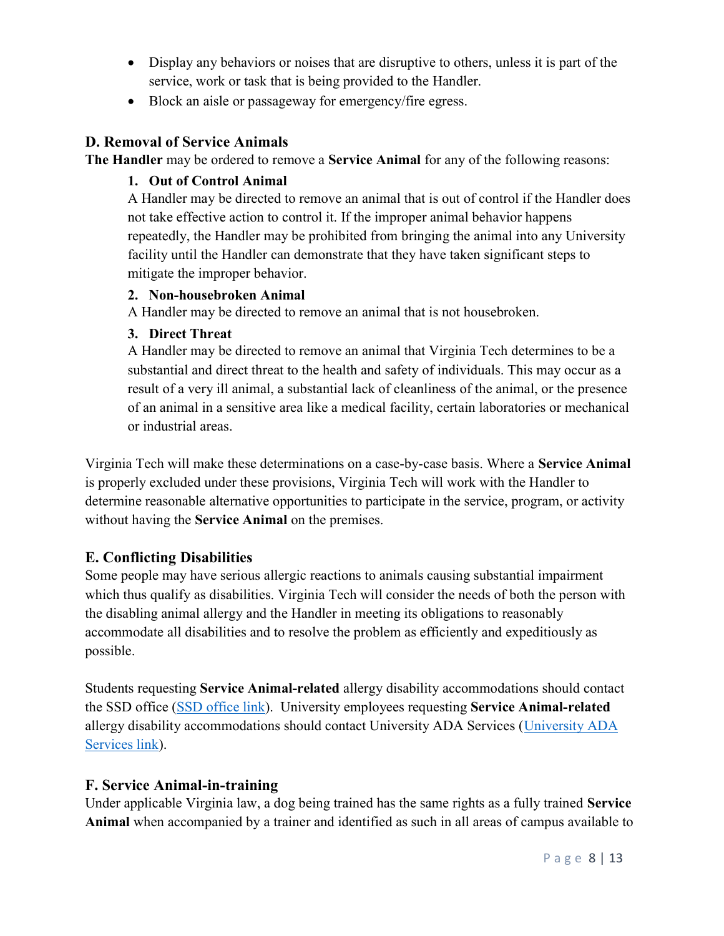- Display any behaviors or noises that are disruptive to others, unless it is part of the service, work or task that is being provided to the Handler.
- Block an aisle or passageway for emergency/fire egress.

## D. Removal of Service Animals

The Handler may be ordered to remove a Service Animal for any of the following reasons:

## 1. Out of Control Animal

A Handler may be directed to remove an animal that is out of control if the Handler does not take effective action to control it. If the improper animal behavior happens repeatedly, the Handler may be prohibited from bringing the animal into any University facility until the Handler can demonstrate that they have taken significant steps to mitigate the improper behavior.

## 2. Non-housebroken Animal

A Handler may be directed to remove an animal that is not housebroken.

## 3. Direct Threat

A Handler may be directed to remove an animal that Virginia Tech determines to be a substantial and direct threat to the health and safety of individuals. This may occur as a result of a very ill animal, a substantial lack of cleanliness of the animal, or the presence of an animal in a sensitive area like a medical facility, certain laboratories or mechanical or industrial areas.

Virginia Tech will make these determinations on a case-by-case basis. Where a Service Animal is properly excluded under these provisions, Virginia Tech will work with the Handler to determine reasonable alternative opportunities to participate in the service, program, or activity without having the Service Animal on the premises.

# E. Conflicting Disabilities

Some people may have serious allergic reactions to animals causing substantial impairment which thus qualify as disabilities. Virginia Tech will consider the needs of both the person with the disabling animal allergy and the Handler in meeting its obligations to reasonably accommodate all disabilities and to resolve the problem as efficiently and expeditiously as possible.

Students requesting Service Animal-related allergy disability accommodations should contact the SSD office (SSD office link). University employees requesting Service Animal-related allergy disability accommodations should contact University ADA Services (University ADA Services link).

# F. Service Animal-in-training

Under applicable Virginia law, a dog being trained has the same rights as a fully trained Service Animal when accompanied by a trainer and identified as such in all areas of campus available to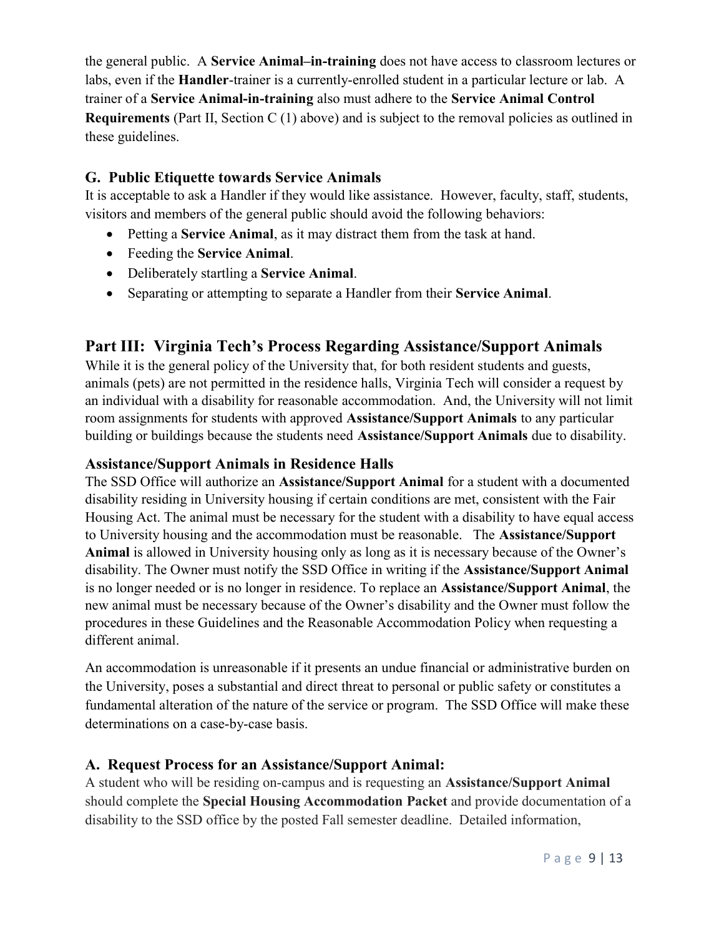the general public. A Service Animal–in-training does not have access to classroom lectures or labs, even if the Handler-trainer is a currently-enrolled student in a particular lecture or lab. A trainer of a Service Animal-in-training also must adhere to the Service Animal Control **Requirements** (Part II, Section C  $(1)$  above) and is subject to the removal policies as outlined in these guidelines.

## G. Public Etiquette towards Service Animals

It is acceptable to ask a Handler if they would like assistance. However, faculty, staff, students, visitors and members of the general public should avoid the following behaviors:

- Petting a Service Animal, as it may distract them from the task at hand.
- Feeding the Service Animal.
- Deliberately startling a Service Animal.
- Separating or attempting to separate a Handler from their Service Animal.

# Part III: Virginia Tech's Process Regarding Assistance/Support Animals

While it is the general policy of the University that, for both resident students and guests, animals (pets) are not permitted in the residence halls, Virginia Tech will consider a request by an individual with a disability for reasonable accommodation. And, the University will not limit room assignments for students with approved Assistance/Support Animals to any particular building or buildings because the students need Assistance/Support Animals due to disability.

## Assistance/Support Animals in Residence Halls

The SSD Office will authorize an Assistance/Support Animal for a student with a documented disability residing in University housing if certain conditions are met, consistent with the Fair Housing Act. The animal must be necessary for the student with a disability to have equal access to University housing and the accommodation must be reasonable. The Assistance/Support Animal is allowed in University housing only as long as it is necessary because of the Owner's disability. The Owner must notify the SSD Office in writing if the Assistance/Support Animal is no longer needed or is no longer in residence. To replace an Assistance/Support Animal, the new animal must be necessary because of the Owner's disability and the Owner must follow the procedures in these Guidelines and the Reasonable Accommodation Policy when requesting a different animal.

An accommodation is unreasonable if it presents an undue financial or administrative burden on the University, poses a substantial and direct threat to personal or public safety or constitutes a fundamental alteration of the nature of the service or program. The SSD Office will make these determinations on a case-by-case basis.

## A. Request Process for an Assistance/Support Animal:

A student who will be residing on-campus and is requesting an Assistance/Support Animal should complete the Special Housing Accommodation Packet and provide documentation of a disability to the SSD office by the posted Fall semester deadline. Detailed information,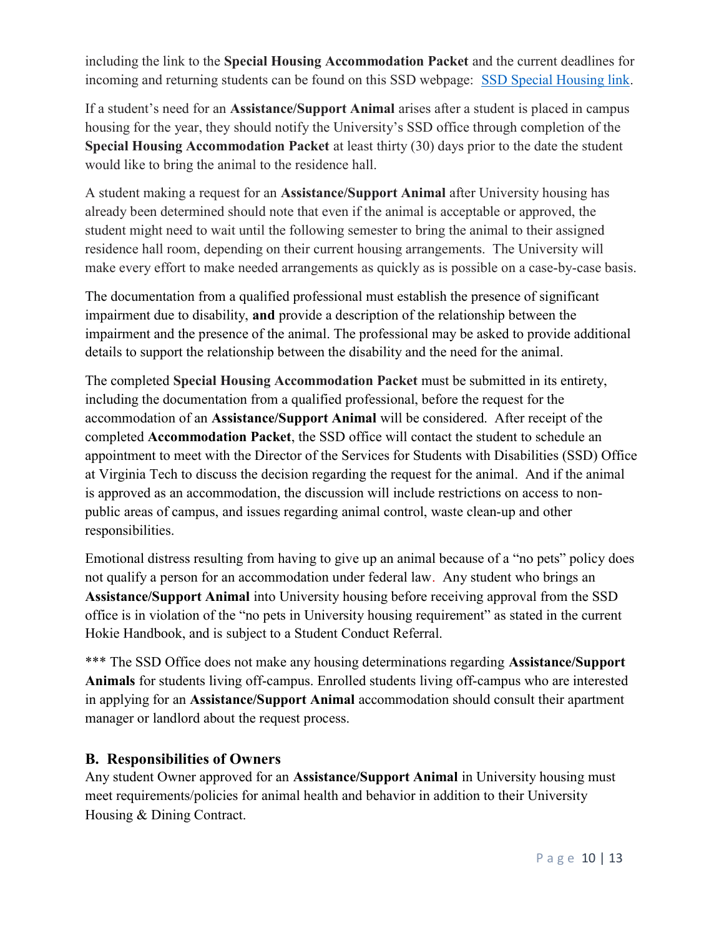including the link to the Special Housing Accommodation Packet and the current deadlines for incoming and returning students can be found on this SSD webpage: SSD Special Housing link.

If a student's need for an Assistance/Support Animal arises after a student is placed in campus housing for the year, they should notify the University's SSD office through completion of the Special Housing Accommodation Packet at least thirty (30) days prior to the date the student would like to bring the animal to the residence hall.

A student making a request for an Assistance/Support Animal after University housing has already been determined should note that even if the animal is acceptable or approved, the student might need to wait until the following semester to bring the animal to their assigned residence hall room, depending on their current housing arrangements. The University will make every effort to make needed arrangements as quickly as is possible on a case-by-case basis.

The documentation from a qualified professional must establish the presence of significant impairment due to disability, and provide a description of the relationship between the impairment and the presence of the animal. The professional may be asked to provide additional details to support the relationship between the disability and the need for the animal.

The completed Special Housing Accommodation Packet must be submitted in its entirety, including the documentation from a qualified professional, before the request for the accommodation of an Assistance/Support Animal will be considered. After receipt of the completed Accommodation Packet, the SSD office will contact the student to schedule an appointment to meet with the Director of the Services for Students with Disabilities (SSD) Office at Virginia Tech to discuss the decision regarding the request for the animal. And if the animal is approved as an accommodation, the discussion will include restrictions on access to nonpublic areas of campus, and issues regarding animal control, waste clean-up and other responsibilities.

Emotional distress resulting from having to give up an animal because of a "no pets" policy does not qualify a person for an accommodation under federal law. Any student who brings an Assistance/Support Animal into University housing before receiving approval from the SSD office is in violation of the "no pets in University housing requirement" as stated in the current Hokie Handbook, and is subject to a Student Conduct Referral.

\*\*\* The SSD Office does not make any housing determinations regarding Assistance/Support Animals for students living off-campus. Enrolled students living off-campus who are interested in applying for an Assistance/Support Animal accommodation should consult their apartment manager or landlord about the request process.

## B. Responsibilities of Owners

Any student Owner approved for an Assistance/Support Animal in University housing must meet requirements/policies for animal health and behavior in addition to their University Housing & Dining Contract.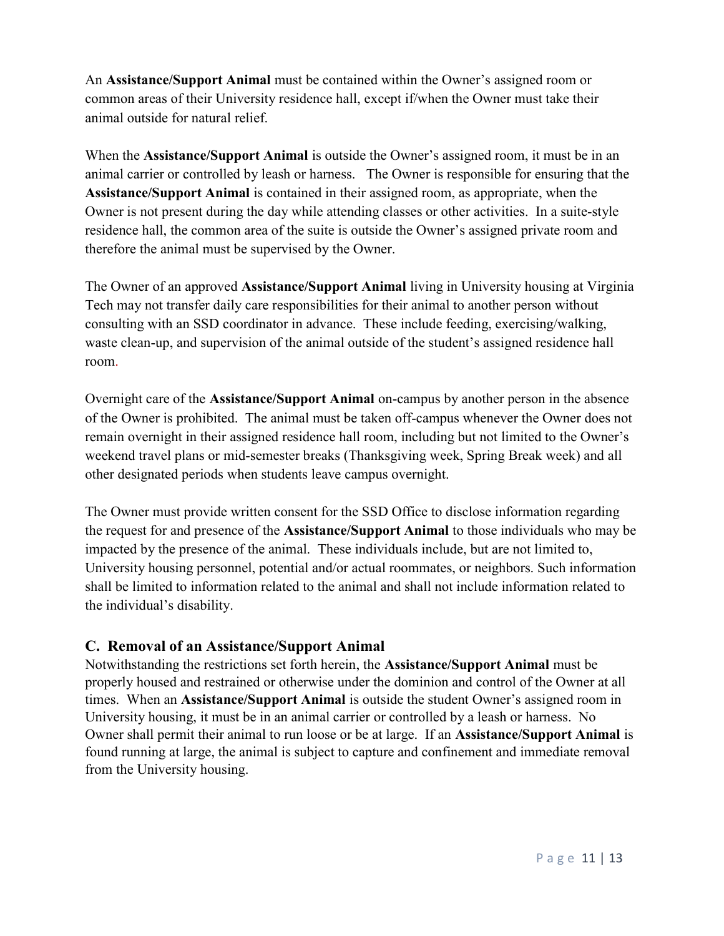An Assistance/Support Animal must be contained within the Owner's assigned room or common areas of their University residence hall, except if/when the Owner must take their animal outside for natural relief.

When the Assistance/Support Animal is outside the Owner's assigned room, it must be in an animal carrier or controlled by leash or harness. The Owner is responsible for ensuring that the Assistance/Support Animal is contained in their assigned room, as appropriate, when the Owner is not present during the day while attending classes or other activities. In a suite-style residence hall, the common area of the suite is outside the Owner's assigned private room and therefore the animal must be supervised by the Owner.

The Owner of an approved Assistance/Support Animal living in University housing at Virginia Tech may not transfer daily care responsibilities for their animal to another person without consulting with an SSD coordinator in advance. These include feeding, exercising/walking, waste clean-up, and supervision of the animal outside of the student's assigned residence hall room.

Overnight care of the Assistance/Support Animal on-campus by another person in the absence of the Owner is prohibited. The animal must be taken off-campus whenever the Owner does not remain overnight in their assigned residence hall room, including but not limited to the Owner's weekend travel plans or mid-semester breaks (Thanksgiving week, Spring Break week) and all other designated periods when students leave campus overnight.

The Owner must provide written consent for the SSD Office to disclose information regarding the request for and presence of the Assistance/Support Animal to those individuals who may be impacted by the presence of the animal. These individuals include, but are not limited to, University housing personnel, potential and/or actual roommates, or neighbors. Such information shall be limited to information related to the animal and shall not include information related to the individual's disability.

## C. Removal of an Assistance/Support Animal

Notwithstanding the restrictions set forth herein, the Assistance/Support Animal must be properly housed and restrained or otherwise under the dominion and control of the Owner at all times. When an Assistance/Support Animal is outside the student Owner's assigned room in University housing, it must be in an animal carrier or controlled by a leash or harness. No Owner shall permit their animal to run loose or be at large. If an Assistance/Support Animal is found running at large, the animal is subject to capture and confinement and immediate removal from the University housing.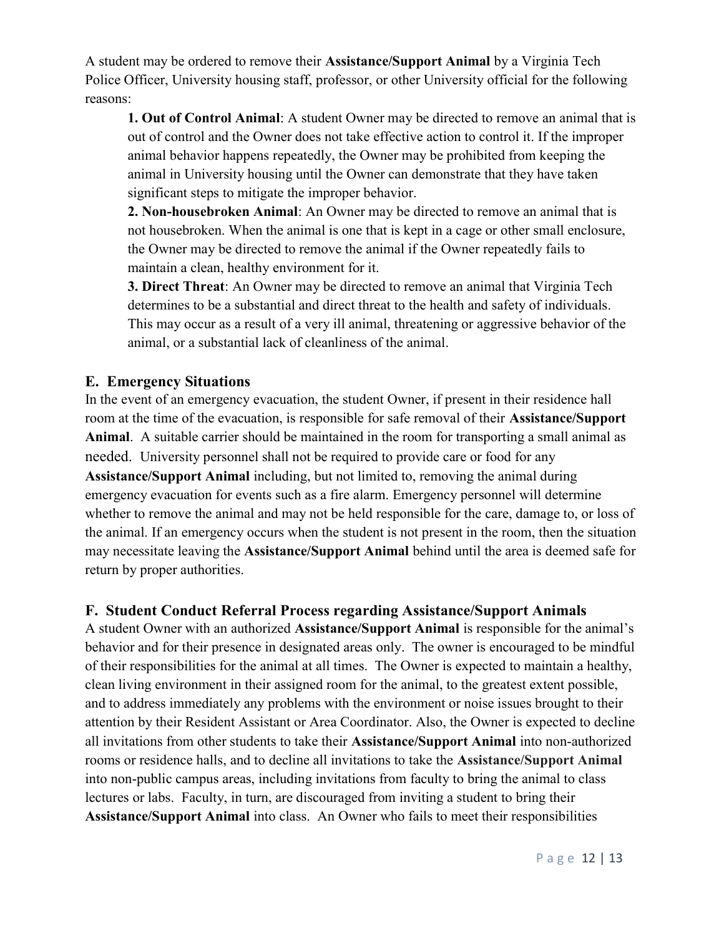A student may be ordered to remove their Assistance/Support Animal by a Virginia Tech Police Officer, University housing staff, professor, or other University official for the following reasons:

1. Out of Control Animal: A student Owner may be directed to remove an animal that is out of control and the Owner does not take effective action to control it. If the improper animal behavior happens repeatedly, the Owner may be prohibited from keeping the animal in University housing until the Owner can demonstrate that they have taken significant steps to mitigate the improper behavior.

2. Non-housebroken Animal: An Owner may be directed to remove an animal that is not housebroken. When the animal is one that is kept in a cage or other small enclosure, the Owner may be directed to remove the animal if the Owner repeatedly fails to maintain a clean, healthy environment for it.

3. Direct Threat: An Owner may be directed to remove an animal that Virginia Tech determines to be a substantial and direct threat to the health and safety of individuals. This may occur as a result of a very ill animal, threatening or aggressive behavior of the animal, or a substantial lack of cleanliness of the animal.

#### E. Emergency Situations

In the event of an emergency evacuation, the student Owner, if present in their residence hall room at the time of the evacuation, is responsible for safe removal of their Assistance/Support Animal. A suitable carrier should be maintained in the room for transporting a small animal as needed. University personnel shall not be required to provide care or food for any Assistance/Support Animal including, but not limited to, removing the animal during emergency evacuation for events such as a fire alarm. Emergency personnel will determine whether to remove the animal and may not be held responsible for the care, damage to, or loss of the animal. If an emergency occurs when the student is not present in the room, then the situation may necessitate leaving the Assistance/Support Animal behind until the area is deemed safe for return by proper authorities.

#### F. Student Conduct Referral Process regarding Assistance/Support Animals

A student Owner with an authorized Assistance/Support Animal is responsible for the animal's behavior and for their presence in designated areas only. The owner is encouraged to be mindful of their responsibilities for the animal at all times. The Owner is expected to maintain a healthy, clean living environment in their assigned room for the animal, to the greatest extent possible, and to address immediately any problems with the environment or noise issues brought to their attention by their Resident Assistant or Area Coordinator. Also, the Owner is expected to decline all invitations from other students to take their Assistance/Support Animal into non-authorized rooms or residence halls, and to decline all invitations to take the Assistance/Support Animal into non-public campus areas, including invitations from faculty to bring the animal to class lectures or labs. Faculty, in turn, are discouraged from inviting a student to bring their Assistance/Support Animal into class. An Owner who fails to meet their responsibilities